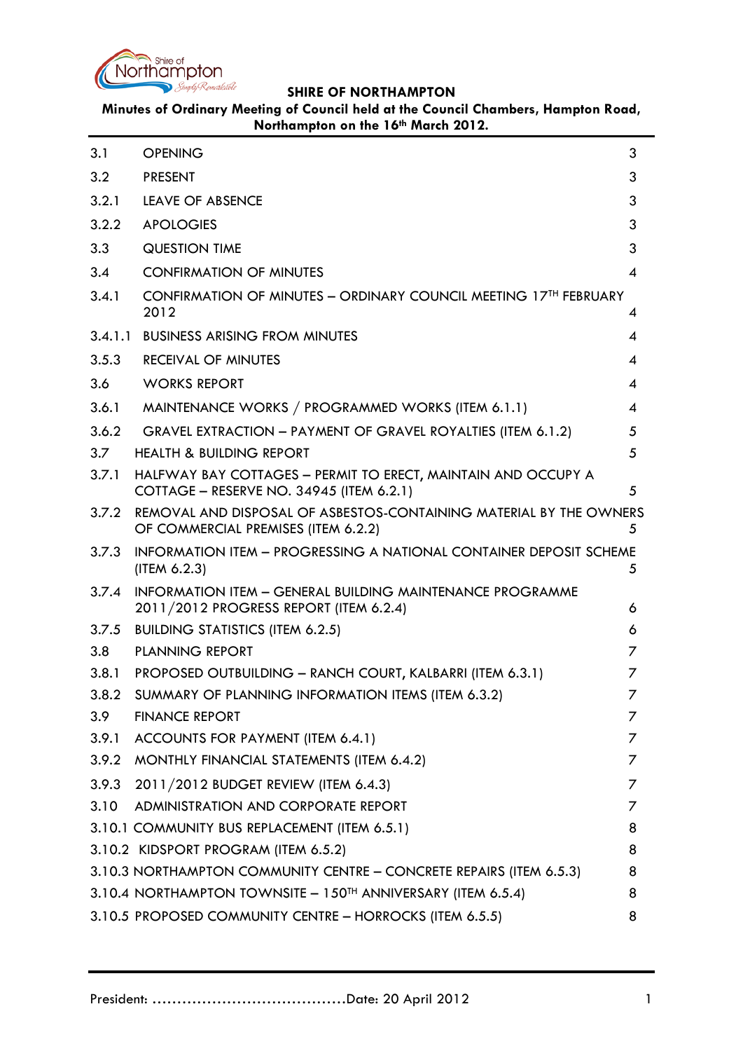

**Minutes of Ordinary Meeting of Council held at the Council Chambers, Hampton Road, Northampton on the 16th March 2012.**

<span id="page-0-0"></span>

| 3.1     | <b>OPENING</b>                                                                                             | 3              |
|---------|------------------------------------------------------------------------------------------------------------|----------------|
| 3.2     | <b>PRESENT</b>                                                                                             | 3              |
| 3.2.1   | LEAVE OF ABSENCE<br>3                                                                                      |                |
| 3.2.2   | <b>APOLOGIES</b>                                                                                           | 3              |
| 3.3     | <b>QUESTION TIME</b>                                                                                       | 3              |
| 3.4     | <b>CONFIRMATION OF MINUTES</b>                                                                             | $\overline{4}$ |
| 3.4.1   | CONFIRMATION OF MINUTES - ORDINARY COUNCIL MEETING 17TH FEBRUARY<br>2012                                   | 4              |
| 3.4.1.1 | <b>BUSINESS ARISING FROM MINUTES</b>                                                                       | 4              |
| 3.5.3   | <b>RECEIVAL OF MINUTES</b>                                                                                 | 4              |
| 3.6     | <b>WORKS REPORT</b>                                                                                        | 4              |
| 3.6.1   | MAINTENANCE WORKS / PROGRAMMED WORKS (ITEM 6.1.1)                                                          | 4              |
| 3.6.2   | GRAVEL EXTRACTION - PAYMENT OF GRAVEL ROYALTIES (ITEM 6.1.2)                                               | 5              |
| 3.7     | <b>HEALTH &amp; BUILDING REPORT</b>                                                                        | 5              |
| 3.7.1   | HALFWAY BAY COTTAGES - PERMIT TO ERECT, MAINTAIN AND OCCUPY A<br>COTTAGE - RESERVE NO. 34945 (ITEM 6.2.1)  | 5              |
| 3.7.2   | REMOVAL AND DISPOSAL OF ASBESTOS-CONTAINING MATERIAL BY THE OWNERS<br>OF COMMERCIAL PREMISES (ITEM 6.2.2)  | 5              |
| 3.7.3   | INFORMATION ITEM - PROGRESSING A NATIONAL CONTAINER DEPOSIT SCHEME<br>(IFEM 6.2.3)                         | 5              |
| 3.7.4   | <b>INFORMATION ITEM - GENERAL BUILDING MAINTENANCE PROGRAMME</b><br>2011/2012 PROGRESS REPORT (ITEM 6.2.4) | 6              |
| 3.7.5   | <b>BUILDING STATISTICS (ITEM 6.2.5)</b>                                                                    | 6              |
| 3.8     | <b>PLANNING REPORT</b>                                                                                     | 7              |
| 3.8.1   | PROPOSED OUTBUILDING - RANCH COURT, KALBARRI (ITEM 6.3.1)                                                  | 7              |
| 3.8.2   | SUMMARY OF PLANNING INFORMATION ITEMS (ITEM 6.3.2)                                                         | 7              |
| 3.9     | <b>FINANCE REPORT</b>                                                                                      | Ζ              |
|         | 3.9.1 ACCOUNTS FOR PAYMENT (ITEM 6.4.1)                                                                    | $\prime$       |
|         | 3.9.2 MONTHLY FINANCIAL STATEMENTS (ITEM 6.4.2)                                                            | 7              |
| 3.9.3   | 2011/2012 BUDGET REVIEW (ITEM 6.4.3)                                                                       | Ζ              |
| 3.10    | ADMINISTRATION AND CORPORATE REPORT                                                                        | 7              |
|         | 3.10.1 COMMUNITY BUS REPLACEMENT (ITEM 6.5.1)                                                              | 8              |
|         | 3.10.2 KIDSPORT PROGRAM (ITEM 6.5.2)                                                                       | 8              |
|         | 3.10.3 NORTHAMPTON COMMUNITY CENTRE - CONCRETE REPAIRS (ITEM 6.5.3)                                        | 8              |
|         | 3.10.4 NORTHAMPTON TOWNSITE - 150TH ANNIVERSARY (ITEM 6.5.4)                                               | 8              |
|         | 3.10.5 PROPOSED COMMUNITY CENTRE - HORROCKS (ITEM 6.5.5)                                                   | 8              |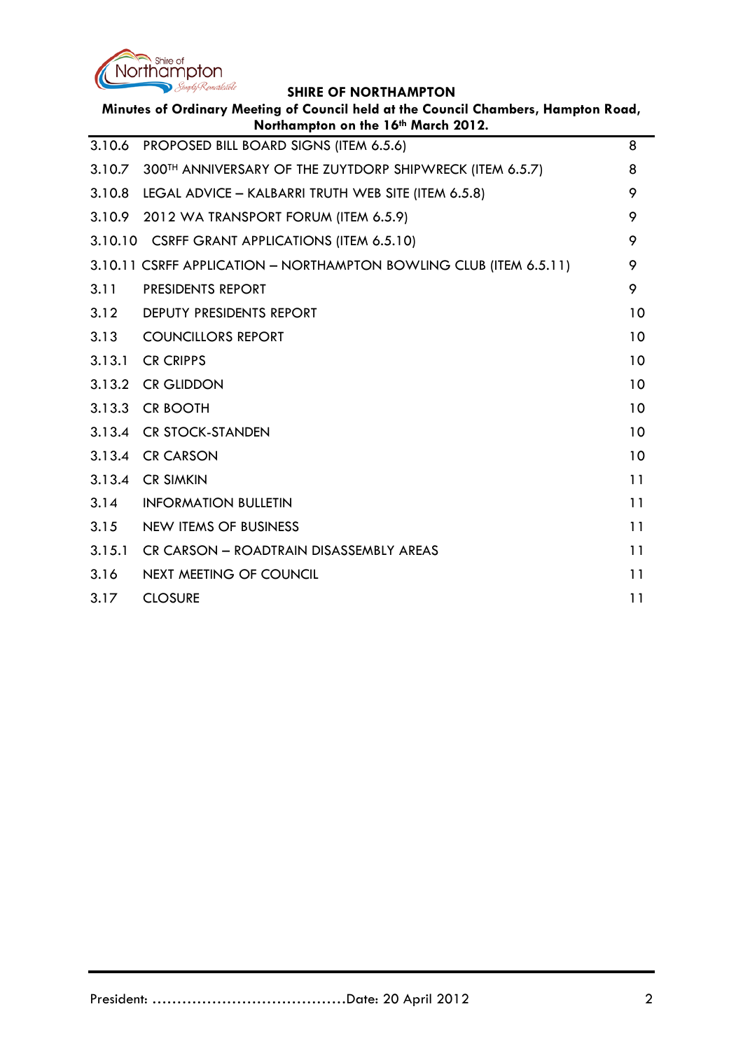

| Minutes of Ordinary Meeting of Council held at the Council Chambers, Hampton Road,<br>Northampton on the 16th March 2012. |                                                                    |    |
|---------------------------------------------------------------------------------------------------------------------------|--------------------------------------------------------------------|----|
| 3.10.6                                                                                                                    | PROPOSED BILL BOARD SIGNS (ITEM 6.5.6)                             | 8  |
| 3.10.7                                                                                                                    | 300TH ANNIVERSARY OF THE ZUYTDORP SHIPWRECK (ITEM 6.5.7)           | 8  |
| 3.10.8                                                                                                                    | LEGAL ADVICE - KALBARRI TRUTH WEB SITE (ITEM 6.5.8)                | 9  |
| 3.10.9                                                                                                                    | 2012 WA TRANSPORT FORUM (ITEM 6.5.9)                               | 9  |
| 3.10.10                                                                                                                   | <b>CSRFF GRANT APPLICATIONS (ITEM 6.5.10)</b>                      | 9  |
|                                                                                                                           | 3.10.11 CSRFF APPLICATION - NORTHAMPTON BOWLING CLUB (ITEM 6.5.11) | 9  |
| 3.11                                                                                                                      | PRESIDENTS REPORT                                                  | 9  |
| 3.12                                                                                                                      | DEPUTY PRESIDENTS REPORT                                           | 10 |
| 3.13                                                                                                                      | <b>COUNCILLORS REPORT</b>                                          | 10 |
| 3.13.1                                                                                                                    | <b>CR CRIPPS</b>                                                   | 10 |
| 3.13.2                                                                                                                    | <b>CR GLIDDON</b>                                                  | 10 |
| 3.13.3                                                                                                                    | <b>CR BOOTH</b>                                                    | 10 |
| 3.13.4                                                                                                                    | <b>CR STOCK-STANDEN</b>                                            | 10 |
| 3.13.4                                                                                                                    | <b>CR CARSON</b>                                                   | 10 |
| 3.13.4                                                                                                                    | <b>CR SIMKIN</b>                                                   | 11 |
| 3.14                                                                                                                      | <b>INFORMATION BULLETIN</b>                                        | 11 |
| 3.15                                                                                                                      | <b>NEW ITEMS OF BUSINESS</b>                                       | 11 |
| 3.15.1                                                                                                                    | CR CARSON - ROADTRAIN DISASSEMBLY AREAS                            | 11 |
| 3.16                                                                                                                      | <b>NEXT MEETING OF COUNCIL</b>                                     | 11 |
| 3.17                                                                                                                      | <b>CLOSURE</b>                                                     | 11 |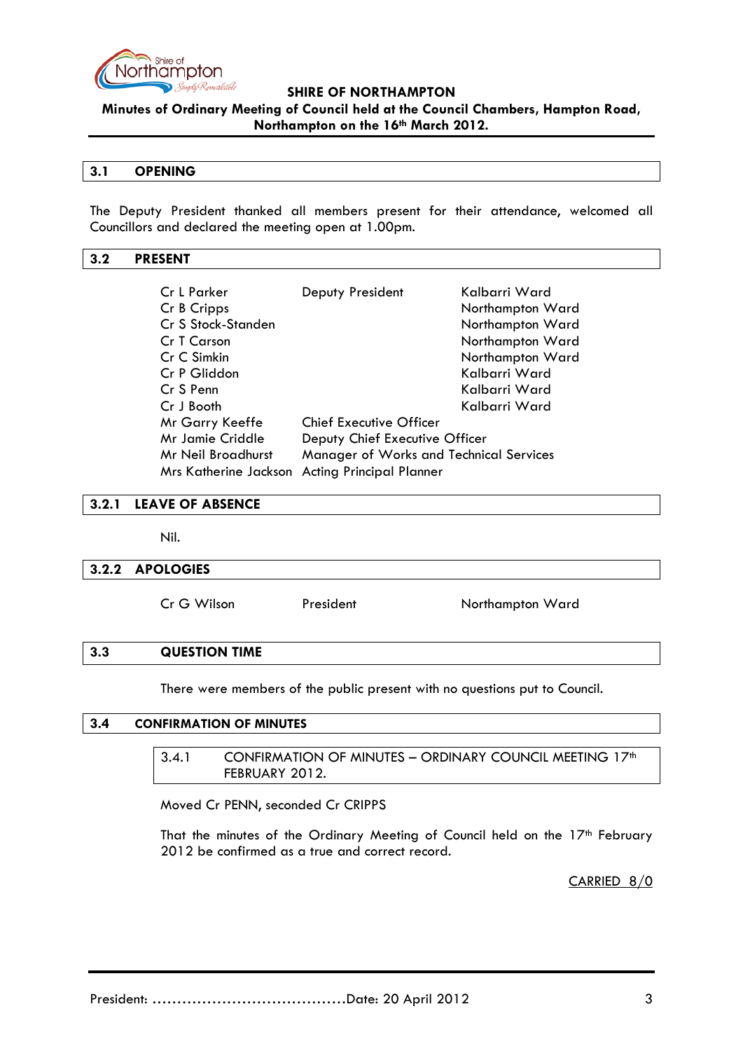

**Minutes of Ordinary Meeting of Council held at the Council Chambers, Hampton Road, Northampton on the 16th March 2012.**

### **3.1 OPENING**

The Deputy President thanked all members present for their attendance, welcomed all Councillors and declared the meeting open at 1.00pm.

### <span id="page-2-0"></span>**3.2 PRESENT**

| Cr L Parker                                                   | Deputy President                | Kalbarri Ward    |
|---------------------------------------------------------------|---------------------------------|------------------|
| Cr B Cripps                                                   |                                 | Northampton Ward |
| Cr S Stock-Standen                                            |                                 | Northampton Ward |
| Cr T Carson                                                   |                                 | Northampton Ward |
| Cr C Simkin                                                   |                                 | Northampton Ward |
| Cr P Gliddon                                                  |                                 | Kalbarri Ward    |
| Cr S Penn                                                     |                                 | Kalbarri Ward    |
| Cr J Booth                                                    |                                 | Kalbarri Ward    |
| Mr Garry Keeffe                                               | <b>Chief Executive Officer</b>  |                  |
| Mr Jamie Criddle                                              | Deputy Chief Executive Officer  |                  |
| Manager of Works and Technical Services<br>Mr Neil Broadhurst |                                 |                  |
| <b>Mrs Katherine Jackson</b>                                  | <b>Acting Principal Planner</b> |                  |

### <span id="page-2-1"></span>**3.2.1 LEAVE OF ABSENCE**

Nil.

### <span id="page-2-2"></span>**3.2.2 APOLOGIES**

Cr G Wilson President Northampton Ward

### <span id="page-2-3"></span>**3.3 QUESTION TIME**

There were members of the public present with no questions put to Council.

### <span id="page-2-5"></span><span id="page-2-4"></span>**3.4 CONFIRMATION OF MINUTES**

3.4.1 CONFIRMATION OF MINUTES - ORDINARY COUNCIL MEETING 17<sup>th</sup> FEBRUARY 2012.

Moved Cr PENN, seconded Cr CRIPPS

That the minutes of the Ordinary Meeting of Council held on the 17<sup>th</sup> February 2012 be confirmed as a true and correct record.

CARRIED 8/0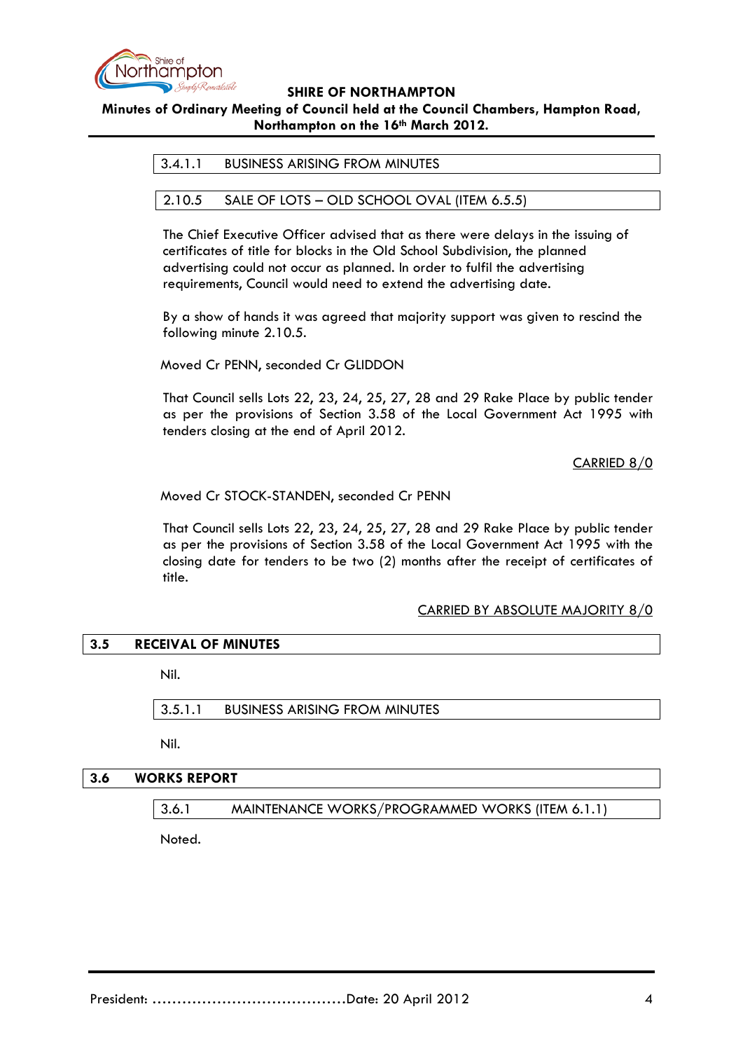

### **Minutes of Ordinary Meeting of Council held at the Council Chambers, Hampton Road, Northampton on the 16th March 2012.**

### 3.4.1.1 BUSINESS ARISING FROM MINUTES

### 2.10.5 SALE OF LOTS – OLD SCHOOL OVAL (ITEM 6.5.5)

The Chief Executive Officer advised that as there were delays in the issuing of certificates of title for blocks in the Old School Subdivision, the planned advertising could not occur as planned. In order to fulfil the advertising requirements, Council would need to extend the advertising date.

By a show of hands it was agreed that majority support was given to rescind the following minute 2.10.5.

Moved Cr PENN, seconded Cr GLIDDON

That Council sells Lots 22, 23, 24, 25, 27, 28 and 29 Rake Place by public tender as per the provisions of Section 3.58 of the Local Government Act 1995 with tenders closing at the end of April 2012.

CARRIED 8/0

Moved Cr STOCK-STANDEN, seconded Cr PENN

That Council sells Lots 22, 23, 24, 25, 27, 28 and 29 Rake Place by public tender as per the provisions of Section 3.58 of the Local Government Act 1995 with the closing date for tenders to be two (2) months after the receipt of certificates of title.

### CARRIED BY ABSOLUTE MAJORITY 8/0

# **3.5 RECEIVAL OF MINUTES**

Nil.

3.5.1.1 BUSINESS ARISING FROM MINUTES

Nil.

### **3.6 WORKS REPORT**

3.6.1 MAINTENANCE WORKS/PROGRAMMED WORKS (ITEM 6.1.1)

Noted.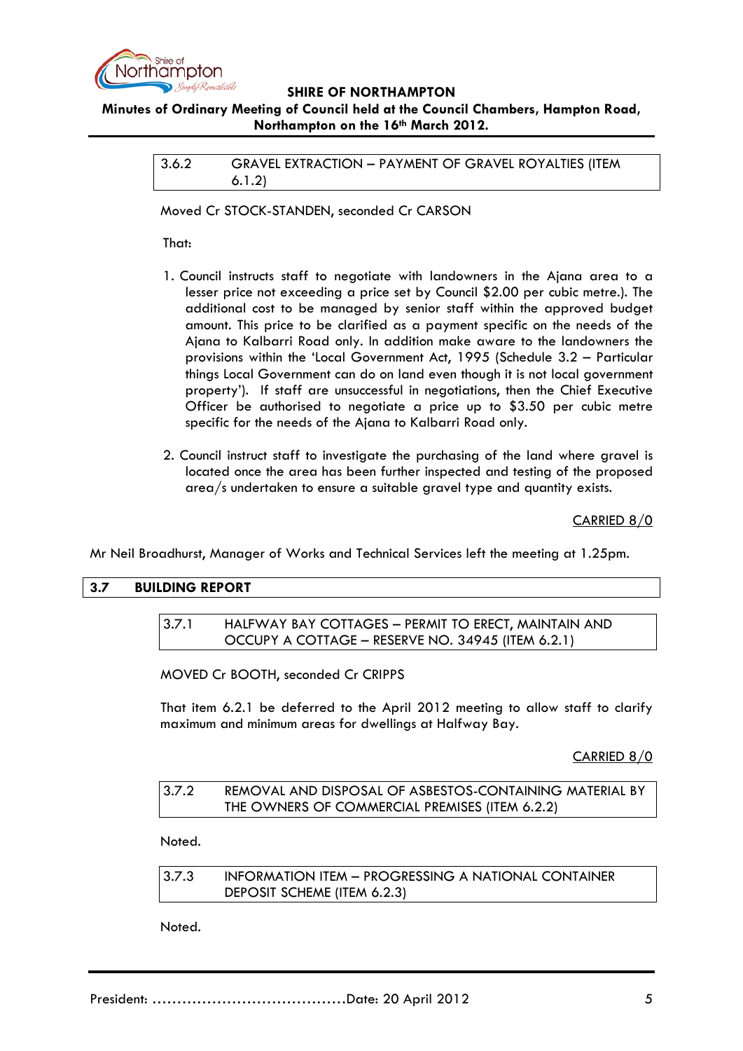

### **Minutes of Ordinary Meeting of Council held at the Council Chambers, Hampton Road, Northampton on the 16th March 2012.**

3.6.2 GRAVEL EXTRACTION – PAYMENT OF GRAVEL ROYALTIES (ITEM 6.1.2)

Moved Cr STOCK-STANDEN, seconded Cr CARSON

That:

- 1. Council instructs staff to negotiate with landowners in the Ajana area to a lesser price not exceeding a price set by Council \$2.00 per cubic metre.). The additional cost to be managed by senior staff within the approved budget amount. This price to be clarified as a payment specific on the needs of the Ajana to Kalbarri Road only. In addition make aware to the landowners the provisions within the 'Local Government Act, 1995 (Schedule 3.2 – Particular things Local Government can do on land even though it is not local government property'). If staff are unsuccessful in negotiations, then the Chief Executive Officer be authorised to negotiate a price up to \$3.50 per cubic metre specific for the needs of the Ajana to Kalbarri Road only.
- 2. Council instruct staff to investigate the purchasing of the land where gravel is located once the area has been further inspected and testing of the proposed area/s undertaken to ensure a suitable gravel type and quantity exists.

CARRIED 8/0

Mr Neil Broadhurst, Manager of Works and Technical Services left the meeting at 1.25pm.

### **3.7 BUILDING REPORT**

### 3.7.1 HALFWAY BAY COTTAGES – PERMIT TO ERECT, MAINTAIN AND OCCUPY A COTTAGE – RESERVE NO. 34945 (ITEM 6.2.1)

MOVED Cr BOOTH, seconded Cr CRIPPS

That item 6.2.1 be deferred to the April 2012 meeting to allow staff to clarify maximum and minimum areas for dwellings at Halfway Bay.

CARRIED 8/0

| 3.7.2 | REMOVAL AND DISPOSAL OF ASBESTOS-CONTAINING MATERIAL BY |
|-------|---------------------------------------------------------|
|       | THE OWNERS OF COMMERCIAL PREMISES (ITEM 6.2.2)          |

Noted.

3.7.3 INFORMATION ITEM – PROGRESSING A NATIONAL CONTAINER DEPOSIT SCHEME (ITEM 6.2.3)

Noted.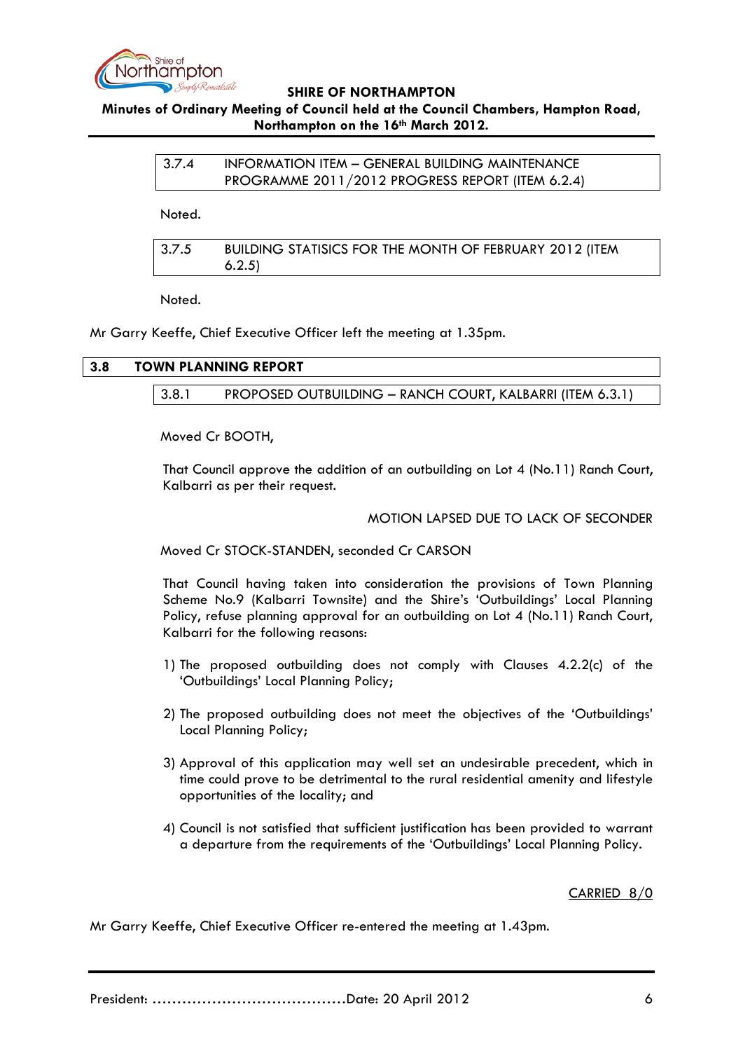

### **Minutes of Ordinary Meeting of Council held at the Council Chambers, Hampton Road, Northampton on the 16th March 2012.**

| 3.7.4 | INFORMATION ITEM - GENERAL BUILDING MAINTENANCE  |
|-------|--------------------------------------------------|
|       | PROGRAMME 2011/2012 PROGRESS REPORT (ITEM 6.2.4) |

Noted.

| 3.7.5 | BUILDING STATISICS FOR THE MONTH OF FEBRUARY 2012 (ITEM |
|-------|---------------------------------------------------------|
|       | 6.2.5)                                                  |

Noted.

Mr Garry Keeffe, Chief Executive Officer left the meeting at 1.35pm.

| 3.8 |       | <b>TOWN PLANNING REPORT</b>                               |
|-----|-------|-----------------------------------------------------------|
|     |       |                                                           |
|     | 3.8.1 | PROPOSED OUTBUILDING - RANCH COURT, KALBARRI (ITEM 6.3.1) |

Moved Cr BOOTH,

That Council approve the addition of an outbuilding on Lot 4 (No.11) Ranch Court, Kalbarri as per their request.

### MOTION LAPSED DUE TO LACK OF SECONDER

Moved Cr STOCK-STANDEN, seconded Cr CARSON

That Council having taken into consideration the provisions of Town Planning Scheme No.9 (Kalbarri Townsite) and the Shire's 'Outbuildings' Local Planning Policy, refuse planning approval for an outbuilding on Lot 4 (No.11) Ranch Court, Kalbarri for the following reasons:

- 1) The proposed outbuilding does not comply with Clauses 4.2.2(c) of the 'Outbuildings' Local Planning Policy;
- 2) The proposed outbuilding does not meet the objectives of the 'Outbuildings' Local Planning Policy;
- 3) Approval of this application may well set an undesirable precedent, which in time could prove to be detrimental to the rural residential amenity and lifestyle opportunities of the locality; and
- 4) Council is not satisfied that sufficient justification has been provided to warrant a departure from the requirements of the 'Outbuildings' Local Planning Policy.

### CARRIED 8/0

Mr Garry Keeffe, Chief Executive Officer re-entered the meeting at 1.43pm.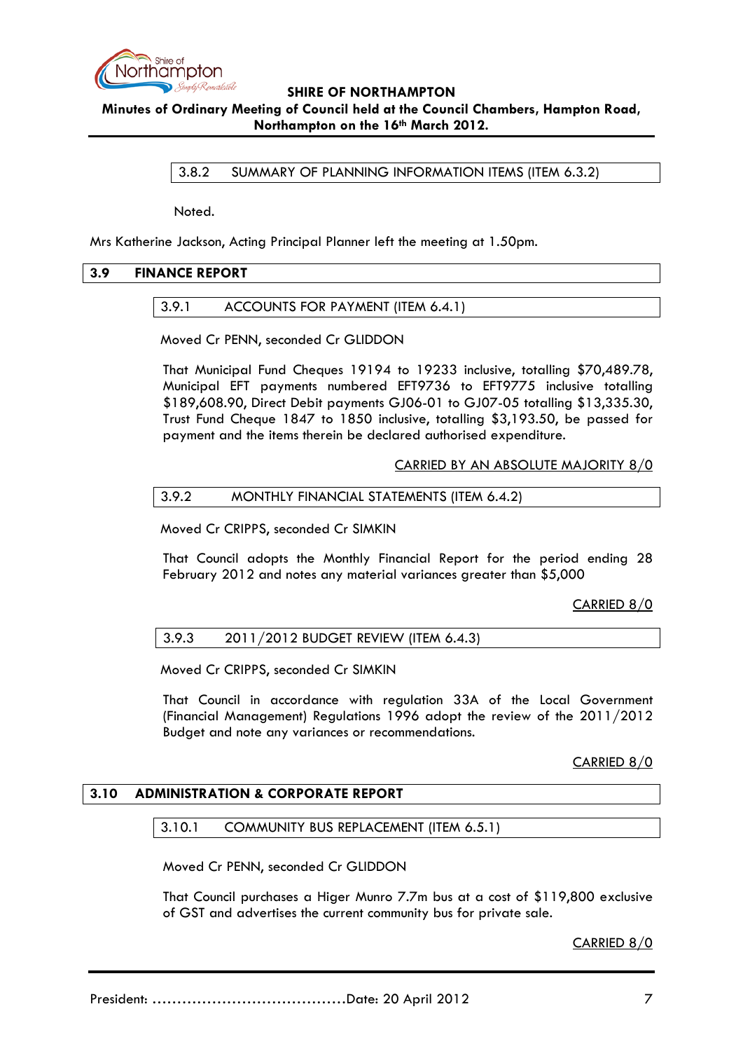

**Minutes of Ordinary Meeting of Council held at the Council Chambers, Hampton Road, Northampton on the 16th March 2012.**

3.8.2 SUMMARY OF PLANNING INFORMATION ITEMS (ITEM 6.3.2)

Noted.

Mrs Katherine Jackson, Acting Principal Planner left the meeting at 1.50pm.

### **3.9 FINANCE REPORT**

### 3.9.1 ACCOUNTS FOR PAYMENT (ITEM 6.4.1)

Moved Cr PENN, seconded Cr GLIDDON

That Municipal Fund Cheques 19194 to 19233 inclusive, totalling \$70,489.78, Municipal EFT payments numbered EFT9736 to EFT9775 inclusive totalling \$189,608.90, Direct Debit payments GJ06-01 to GJ07-05 totalling \$13,335.30, Trust Fund Cheque 1847 to 1850 inclusive, totalling \$3,193.50, be passed for payment and the items therein be declared authorised expenditure.

CARRIED BY AN ABSOLUTE MAJORITY 8/0

### 3.9.2 MONTHLY FINANCIAL STATEMENTS (ITEM 6.4.2)

Moved Cr CRIPPS, seconded Cr SIMKIN

That Council adopts the Monthly Financial Report for the period ending 28 February 2012 and notes any material variances greater than \$5,000

CARRIED 8/0

### 3.9.3 2011/2012 BUDGET REVIEW (ITEM 6.4.3)

Moved Cr CRIPPS, seconded Cr SIMKIN

That Council in accordance with regulation 33A of the Local Government (Financial Management) Regulations 1996 adopt the review of the 2011/2012 Budget and note any variances or recommendations.

CARRIED 8/0

### **3.10 ADMINISTRATION & CORPORATE REPORT**

### 3.10.1 COMMUNITY BUS REPLACEMENT (ITEM 6.5.1)

Moved Cr PENN, seconded Cr GLIDDON

That Council purchases a Higer Munro 7.7m bus at a cost of \$119,800 exclusive of GST and advertises the current community bus for private sale.

CARRIED 8/0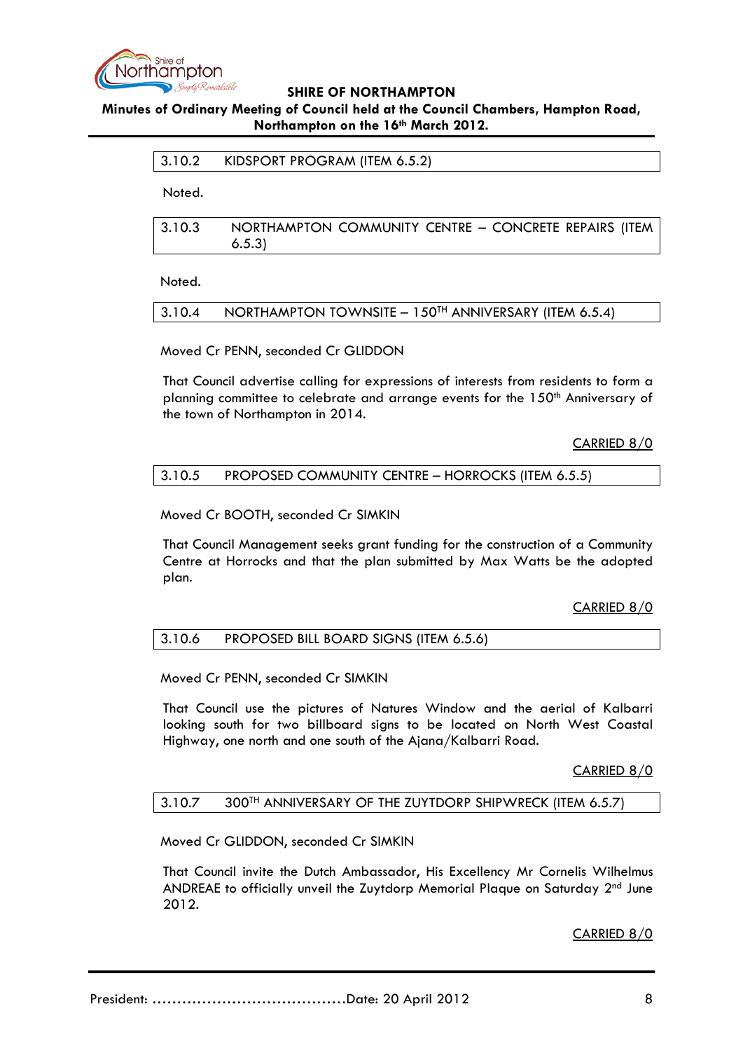

### **Minutes of Ordinary Meeting of Council held at the Council Chambers, Hampton Road, Northampton on the 16th March 2012.**

### 3.10.2 KIDSPORT PROGRAM (ITEM 6.5.2)

Noted.

3.10.3 NORTHAMPTON COMMUNITY CENTRE – CONCRETE REPAIRS (ITEM 6.5.3)

Noted.

#### 3.10.4 NORTHAMPTON TOWNSITE – 150TH ANNIVERSARY (ITEM 6.5.4)

Moved Cr PENN, seconded Cr GLIDDON

That Council advertise calling for expressions of interests from residents to form a planning committee to celebrate and arrange events for the 150<sup>th</sup> Anniversary of the town of Northampton in 2014.

CARRIED 8/0

### 3.10.5 PROPOSED COMMUNITY CENTRE – HORROCKS (ITEM 6.5.5)

Moved Cr BOOTH, seconded Cr SIMKIN

That Council Management seeks grant funding for the construction of a Community Centre at Horrocks and that the plan submitted by Max Watts be the adopted plan.

CARRIED 8/0

### 3.10.6 PROPOSED BILL BOARD SIGNS (ITEM 6.5.6)

Moved Cr PENN, seconded Cr SIMKIN

That Council use the pictures of Natures Window and the aerial of Kalbarri looking south for two billboard signs to be located on North West Coastal Highway, one north and one south of the Ajana/Kalbarri Road.

CARRIED 8/0

### 3.10.7 300TH ANNIVERSARY OF THE ZUYTDORP SHIPWRECK (ITEM 6.5.7)

Moved Cr GLIDDON, seconded Cr SIMKIN

That Council invite the Dutch Ambassador, His Excellency Mr Cornelis Wilhelmus ANDREAE to officially unveil the Zuytdorp Memorial Plaque on Saturday 2nd June 2012.

CARRIED 8/0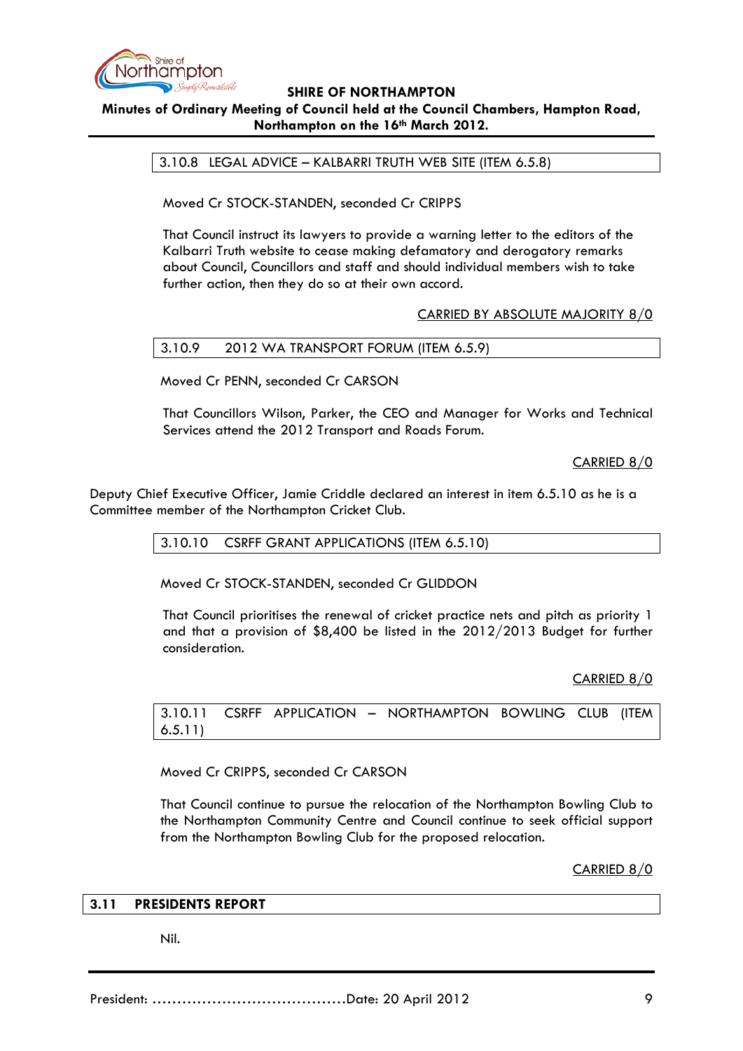

## **SHIRE OF NORTHAMPTON Minutes of Ordinary Meeting of Council held at the Council Chambers, Hampton Road,**

#### **Northampton on the 16th March 2012.**

3.10.8 LEGAL ADVICE – KALBARRI TRUTH WEB SITE (ITEM 6.5.8)

Moved Cr STOCK-STANDEN, seconded Cr CRIPPS

That Council instruct its lawyers to provide a warning letter to the editors of the Kalbarri Truth website to cease making defamatory and derogatory remarks about Council, Councillors and staff and should individual members wish to take further action, then they do so at their own accord.

### CARRIED BY ABSOLUTE MAJORITY 8/0

### 3.10.9 2012 WA TRANSPORT FORUM (ITEM 6.5.9)

Moved Cr PENN, seconded Cr CARSON

That Councillors Wilson, Parker, the CEO and Manager for Works and Technical Services attend the 2012 Transport and Roads Forum.

CARRIED 8/0

Deputy Chief Executive Officer, Jamie Criddle declared an interest in item 6.5.10 as he is a Committee member of the Northampton Cricket Club.

3.10.10 CSRFF GRANT APPLICATIONS (ITEM 6.5.10)

Moved Cr STOCK-STANDEN, seconded Cr GLIDDON

That Council prioritises the renewal of cricket practice nets and pitch as priority 1 and that a provision of \$8,400 be listed in the 2012/2013 Budget for further consideration.

CARRIED 8/0

3.10.11 CSRFF APPLICATION – NORTHAMPTON BOWLING CLUB (ITEM 6.5.11)

Moved Cr CRIPPS, seconded Cr CARSON

That Council continue to pursue the relocation of the Northampton Bowling Club to the Northampton Community Centre and Council continue to seek official support from the Northampton Bowling Club for the proposed relocation.

CARRIED 8/0

### **3.11 PRESIDENTS REPORT**

Nil.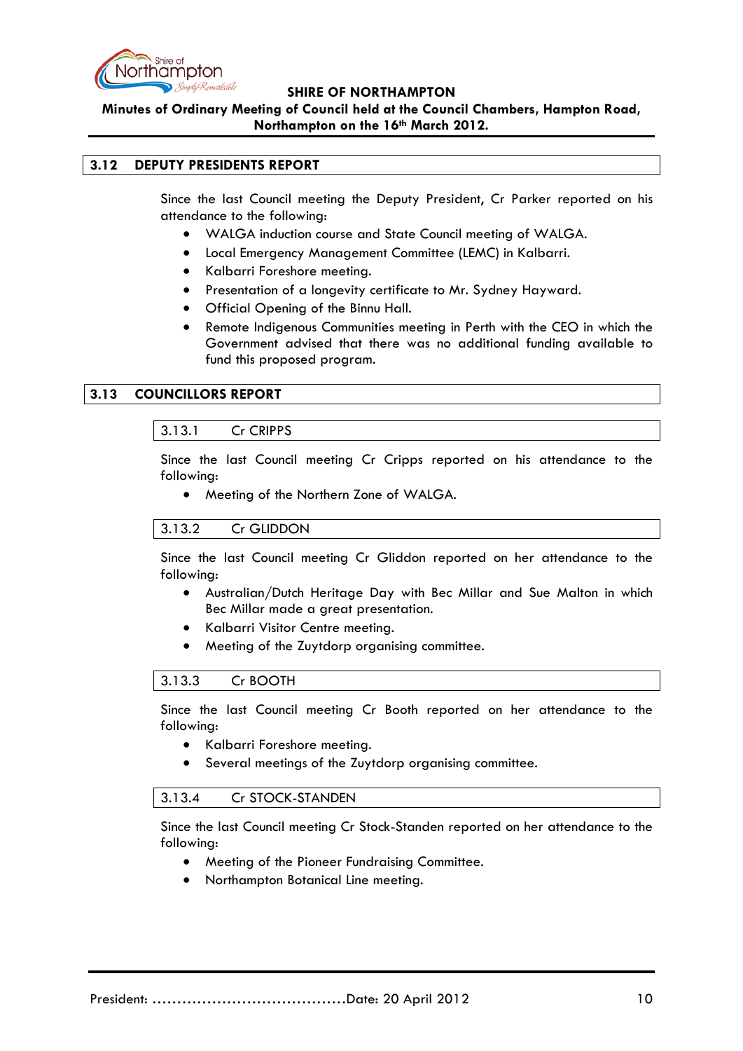

**Minutes of Ordinary Meeting of Council held at the Council Chambers, Hampton Road, Northampton on the 16th March 2012.**

### **3.12 DEPUTY PRESIDENTS REPORT**

Since the last Council meeting the Deputy President, Cr Parker reported on his attendance to the following:

- WALGA induction course and State Council meeting of WALGA.
- Local Emergency Management Committee (LEMC) in Kalbarri.
- Kalbarri Foreshore meeting.
- Presentation of a longevity certificate to Mr. Sydney Hayward.
- Official Opening of the Binnu Hall.
- Remote Indigenous Communities meeting in Perth with the CEO in which the Government advised that there was no additional funding available to fund this proposed program.

### **3.13 COUNCILLORS REPORT**

### 3.13.1 Cr CRIPPS

Since the last Council meeting Cr Cripps reported on his attendance to the following:

• Meeting of the Northern Zone of WALGA.

### 3.13.2 Cr GLIDDON

Since the last Council meeting Cr Gliddon reported on her attendance to the following:

- Australian/Dutch Heritage Day with Bec Millar and Sue Malton in which Bec Millar made a great presentation.
- Kalbarri Visitor Centre meeting.
- Meeting of the Zuytdorp organising committee.

### 3.13.3 Cr BOOTH

Since the last Council meeting Cr Booth reported on her attendance to the following:

- Kalbarri Foreshore meeting.
- Several meetings of the Zuytdorp organising committee.

### 3.13.4 Cr STOCK-STANDEN

Since the last Council meeting Cr Stock-Standen reported on her attendance to the following:

- Meeting of the Pioneer Fundraising Committee.
- Northampton Botanical Line meeting.